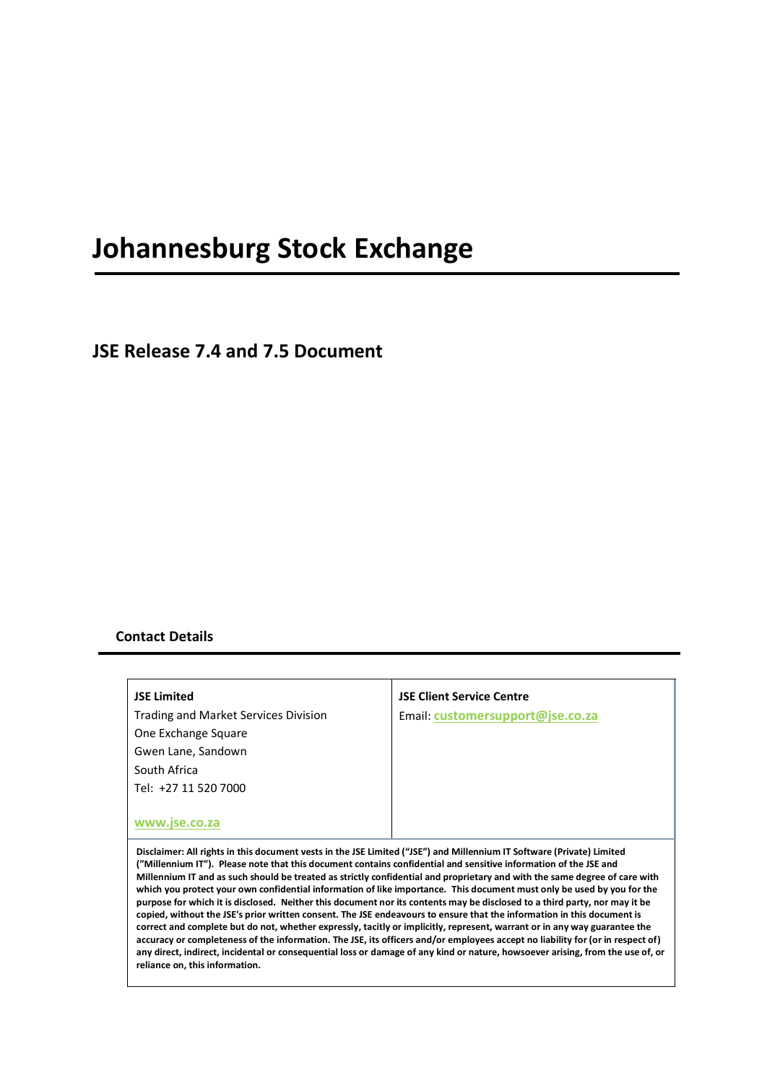# **Johannesburg Stock Exchange**

**JSE Release 7.4 and 7.5 Document**

#### **Contact Details**

| <b>JSE Limited</b>                   |
|--------------------------------------|
| Trading and Market Services Division |
| One Exchange Square                  |
| Gwen Lane, Sandown                   |
| South Africa                         |
| Tel: +27 11 520 7000                 |
|                                      |
|                                      |

#### **JSE Client Service Centre**

Email: **[customersupport@jse.co.za](mailto:customersupport@jse.co.za)**

**[www.jse.co.za](http://www.jse.co.za/)**

**Disclaimer: All rights in this document vests in the JSE Limited ("JSE") and Millennium IT Software (Private) Limited ("Millennium IT"). Please note that this document contains confidential and sensitive information of the JSE and Millennium IT and as such should be treated as strictly confidential and proprietary and with the same degree of care with which you protect your own confidential information of like importance. This document must only be used by you for the purpose for which it is disclosed. Neither this document nor its contents may be disclosed to a third party, nor may it be copied, without the JSE's prior written consent. The JSE endeavours to ensure that the information in this document is correct and complete but do not, whether expressly, tacitly or implicitly, represent, warrant or in any way guarantee the accuracy or completeness of the information. The JSE, its officers and/or employees accept no liability for (or in respect of) any direct, indirect, incidental or consequential loss or damage of any kind or nature, howsoever arising, from the use of, or reliance on, this information.**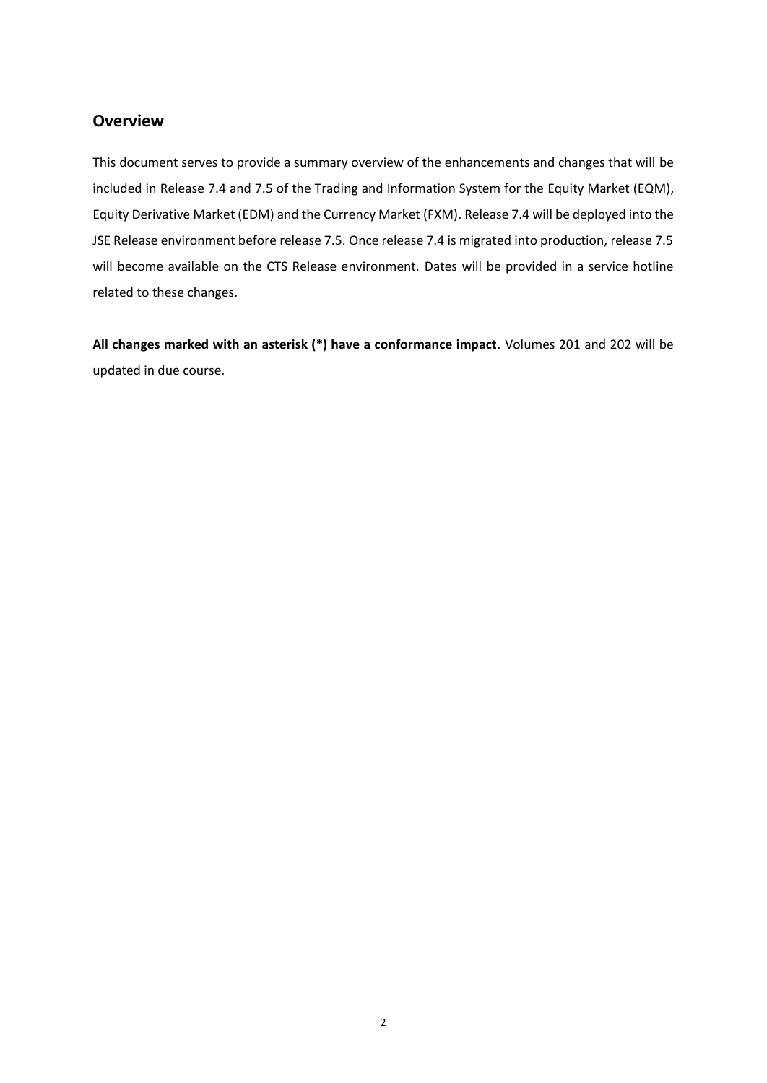# **Overview**

This document serves to provide a summary overview of the enhancements and changes that will be included in Release 7.4 and 7.5 of the Trading and Information System for the Equity Market (EQM), Equity Derivative Market (EDM) and the Currency Market (FXM). Release 7.4 will be deployed into the JSE Release environment before release 7.5. Once release 7.4 is migrated into production, release 7.5 will become available on the CTS Release environment. Dates will be provided in a service hotline related to these changes.

**All changes marked with an asterisk (\*) have a conformance impact.** Volumes 201 and 202 will be updated in due course.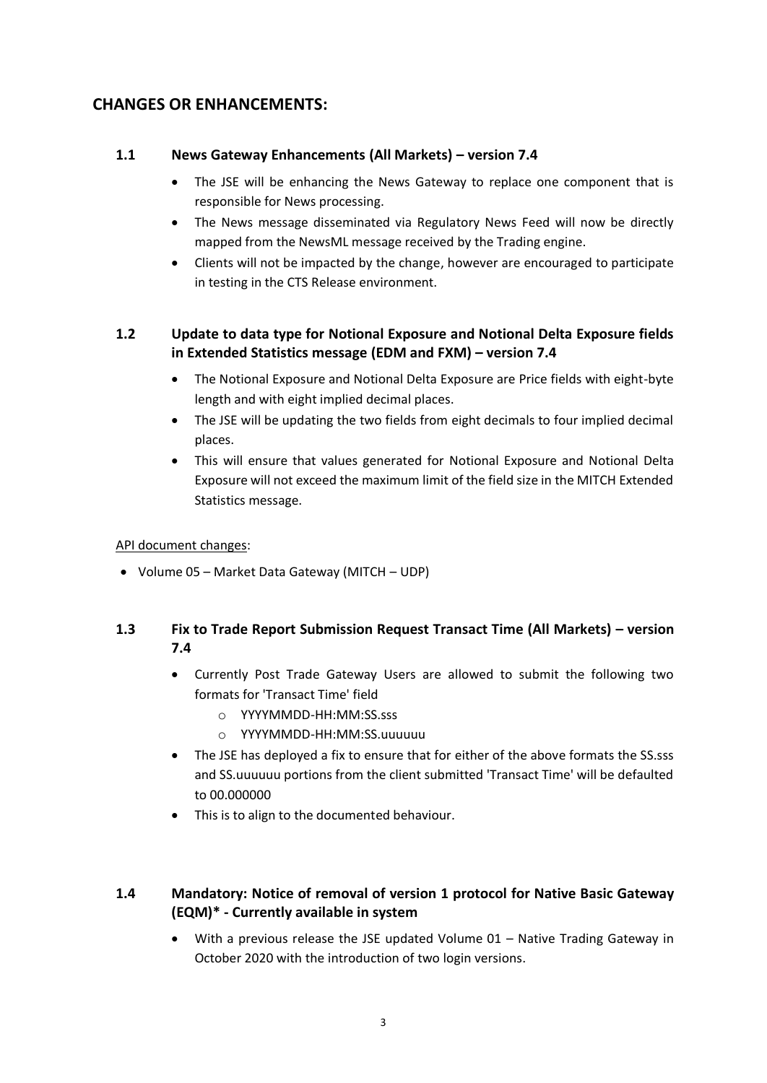# **CHANGES OR ENHANCEMENTS:**

### **1.1 News Gateway Enhancements (All Markets) – version 7.4**

- The JSE will be enhancing the News Gateway to replace one component that is responsible for News processing.
- The News message disseminated via Regulatory News Feed will now be directly mapped from the NewsML message received by the Trading engine.
- Clients will not be impacted by the change, however are encouraged to participate in testing in the CTS Release environment.

## **1.2 Update to data type for Notional Exposure and Notional Delta Exposure fields in Extended Statistics message (EDM and FXM) – version 7.4**

- The Notional Exposure and Notional Delta Exposure are Price fields with eight-byte length and with eight implied decimal places.
- The JSE will be updating the two fields from eight decimals to four implied decimal places.
- This will ensure that values generated for Notional Exposure and Notional Delta Exposure will not exceed the maximum limit of the field size in the MITCH Extended Statistics message.

#### API document changes:

• Volume 05 – Market Data Gateway (MITCH – UDP)

# **1.3 Fix to Trade Report Submission Request Transact Time (All Markets) – version 7.4**

- Currently Post Trade Gateway Users are allowed to submit the following two formats for 'Transact Time' field
	- o YYYYMMDD-HH:MM:SS.sss
	- o YYYYMMDD-HH:MM:SS.uuuuuu
- The JSE has deployed a fix to ensure that for either of the above formats the SS.sss and SS.uuuuuu portions from the client submitted 'Transact Time' will be defaulted to 00.000000
- This is to align to the documented behaviour.

# **1.4 Mandatory: Notice of removal of version 1 protocol for Native Basic Gateway (EQM)\* - Currently available in system**

• With a previous release the JSE updated Volume 01 – Native Trading Gateway in October 2020 with the introduction of two login versions.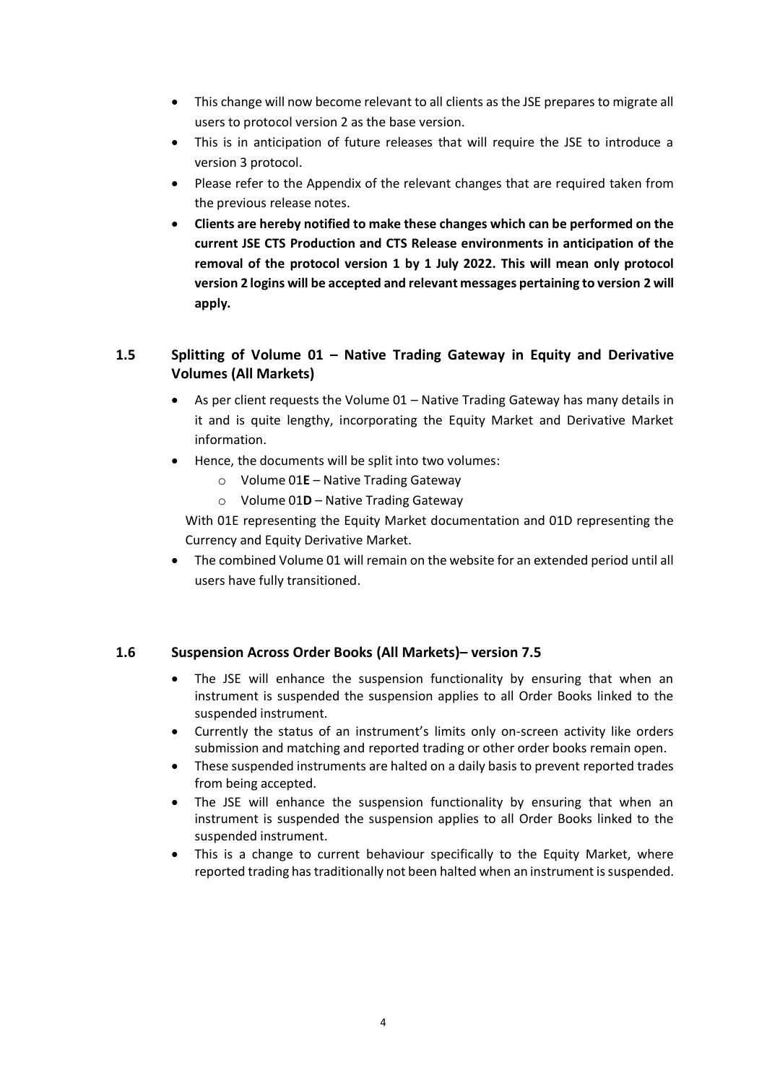- This change will now become relevant to all clients as the JSE prepares to migrate all users to protocol version 2 as the base version.
- This is in anticipation of future releases that will require the JSE to introduce a version 3 protocol.
- Please refer to the Appendix of the relevant changes that are required taken from the previous release notes.
- **Clients are hereby notified to make these changes which can be performed on the current JSE CTS Production and CTS Release environments in anticipation of the removal of the protocol version 1 by 1 July 2022. This will mean only protocol version 2 logins will be accepted and relevant messages pertaining to version 2 will apply.**

# **1.5 Splitting of Volume 01 – Native Trading Gateway in Equity and Derivative Volumes (All Markets)**

- As per client requests the Volume 01 Native Trading Gateway has many details in it and is quite lengthy, incorporating the Equity Market and Derivative Market information.
- Hence, the documents will be split into two volumes:
	- o Volume 01**E** Native Trading Gateway
	- o Volume 01**D** Native Trading Gateway

With 01E representing the Equity Market documentation and 01D representing the Currency and Equity Derivative Market.

• The combined Volume 01 will remain on the website for an extended period until all users have fully transitioned.

## **1.6 Suspension Across Order Books (All Markets)– version 7.5**

- The JSE will enhance the suspension functionality by ensuring that when an instrument is suspended the suspension applies to all Order Books linked to the suspended instrument.
- Currently the status of an instrument's limits only on-screen activity like orders submission and matching and reported trading or other order books remain open.
- These suspended instruments are halted on a daily basis to prevent reported trades from being accepted.
- The JSE will enhance the suspension functionality by ensuring that when an instrument is suspended the suspension applies to all Order Books linked to the suspended instrument.
- This is a change to current behaviour specifically to the Equity Market, where reported trading has traditionally not been halted when an instrument is suspended.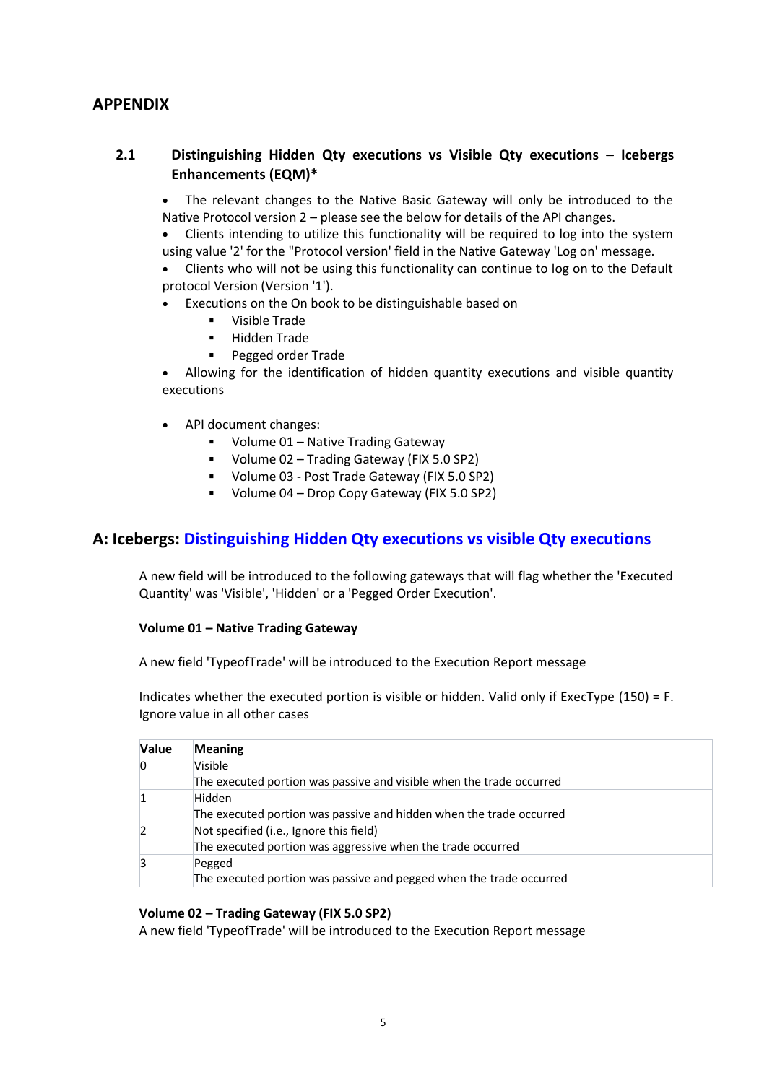# **APPENDIX**

## **2.1 Distinguishing Hidden Qty executions vs Visible Qty executions – Icebergs Enhancements (EQM)\***

• The relevant changes to the Native Basic Gateway will only be introduced to the Native Protocol version 2 – please see the below for details of the API changes.

• Clients intending to utilize this functionality will be required to log into the system using value '2' for the "Protocol version' field in the Native Gateway 'Log on' message.

• Clients who will not be using this functionality can continue to log on to the Default protocol Version (Version '1').

- Executions on the On book to be distinguishable based on
	- Visible Trade
	- Hidden Trade
	- Pegged order Trade

• Allowing for the identification of hidden quantity executions and visible quantity executions

- API document changes:
	- Volume 01 Native Trading Gateway
	- Volume 02 Trading Gateway (FIX 5.0 SP2)
	- Volume 03 Post Trade Gateway (FIX 5.0 SP2)
	- Volume 04 Drop Copy Gateway (FIX 5.0 SP2)

## **A: Icebergs: [Distinguishing Hidden Qty executions vs visible Qty executions](https://confluence.millenniumit.com/display/JSEDOC/JSE-21986+Distinguishing+Hidden+Qty+executions+vs+visible+Qty+executions)**

A new field will be introduced to the following gateways that will flag whether the 'Executed Quantity' was 'Visible', 'Hidden' or a 'Pegged Order Execution'.

#### **Volume 01 – Native Trading Gateway**

A new field 'TypeofTrade' will be introduced to the Execution Report message

Indicates whether the executed portion is visible or hidden. Valid only if ExecType (150) = F. Ignore value in all other cases

| <b>Value</b> | <b>Meaning</b>                                                       |
|--------------|----------------------------------------------------------------------|
|              | Visible                                                              |
|              | The executed portion was passive and visible when the trade occurred |
|              | Hidden                                                               |
|              | The executed portion was passive and hidden when the trade occurred  |
|              | Not specified (i.e., Ignore this field)                              |
|              | The executed portion was aggressive when the trade occurred          |
|              | Pegged                                                               |
|              | The executed portion was passive and pegged when the trade occurred  |

#### **Volume 02 – Trading Gateway (FIX 5.0 SP2)**

A new field 'TypeofTrade' will be introduced to the Execution Report message